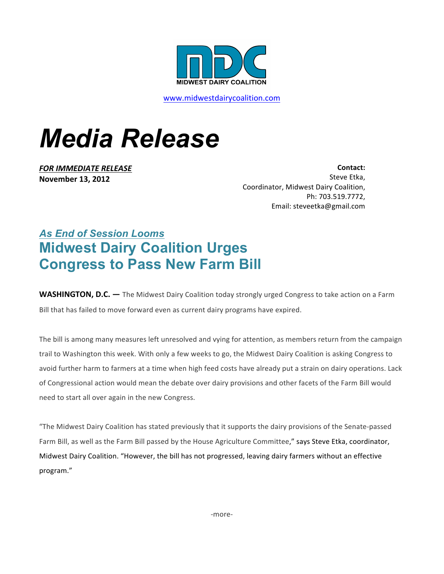

www.midwestdairycoalition.com

## *Media Release*

**FOR IMMEDIATE RELEASE November 13, 2012**

**Contact:**  Steve Etka, Coordinator, Midwest Dairy Coalition, Ph: 703.519.7772, Email: steveetka@gmail.com

## *As End of Session Looms* **Midwest Dairy Coalition Urges Congress to Pass New Farm Bill**

**WASHINGTON, D.C.** — The Midwest Dairy Coalition today strongly urged Congress to take action on a Farm Bill that has failed to move forward even as current dairy programs have expired.

The bill is among many measures left unresolved and vying for attention, as members return from the campaign trail to Washington this week. With only a few weeks to go, the Midwest Dairy Coalition is asking Congress to avoid further harm to farmers at a time when high feed costs have already put a strain on dairy operations. Lack of Congressional action would mean the debate over dairy provisions and other facets of the Farm Bill would need to start all over again in the new Congress.

"The Midwest Dairy Coalition has stated previously that it supports the dairy provisions of the Senate-passed Farm Bill, as well as the Farm Bill passed by the House Agriculture Committee," says Steve Etka, coordinator, Midwest Dairy Coalition. "However, the bill has not progressed, leaving dairy farmers without an effective program."

-more-